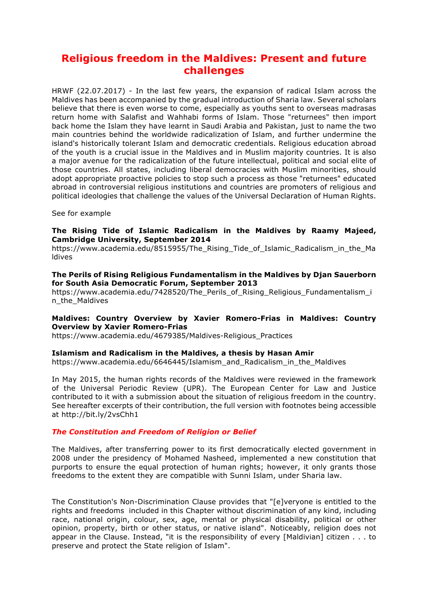# **Religious freedom in the Maldives: Present and future challenges**

HRWF (22.07.2017) - In the last few years, the expansion of radical Islam across the Maldives has been accompanied by the gradual introduction of Sharia law. Several scholars believe that there is even worse to come, especially as youths sent to overseas madrasas return home with Salafist and Wahhabi forms of Islam. Those "returnees" then import back home the Islam they have learnt in Saudi Arabia and Pakistan, just to name the two main countries behind the worldwide radicalization of Islam, and further undermine the island's historically tolerant Islam and democratic credentials. Religious education abroad of the youth is a crucial issue in the Maldives and in Muslim majority countries. It is also a major avenue for the radicalization of the future intellectual, political and social elite of those countries. All states, including liberal democracies with Muslim minorities, should adopt appropriate proactive policies to stop such a process as those "returnees" educated abroad in controversial religious institutions and countries are promoters of religious and political ideologies that challenge the values of the Universal Declaration of Human Rights.

See for example

#### **The Rising Tide of Islamic Radicalism in the Maldives by Raamy Majeed, Cambridge University, September 2014**

https://www.academia.edu/8515955/The\_Rising\_Tide\_of\_Islamic\_Radicalism\_in\_the\_Ma ldives

#### **The Perils of Rising Religious Fundamentalism in the Maldives by Djan Sauerborn for South Asia Democratic Forum, September 2013**

https://www.academia.edu/7428520/The\_Perils\_of\_Rising\_Religious\_Fundamentalism\_i n\_the\_Maldives

### **Maldives: Country Overview by Xavier Romero-Frias in Maldives: Country Overview by Xavier Romero-Frias**

https://www.academia.edu/4679385/Maldives-Religious\_Practices

#### **Islamism and Radicalism in the Maldives, a thesis by Hasan Amir**

https://www.academia.edu/6646445/Islamism\_and\_Radicalism\_in\_the\_Maldives

In May 2015, the human rights records of the Maldives were reviewed in the framework of the Universal Periodic Review (UPR). The European Center for Law and Justice contributed to it with a submission about the situation of religious freedom in the country. See hereafter excerpts of their contribution, the full version with footnotes being accessible at http://bit.ly/2vsChh1

#### *The Constitution and Freedom of Religion or Belief*

The Maldives, after transferring power to its first democratically elected government in 2008 under the presidency of Mohamed Nasheed, implemented a new constitution that purports to ensure the equal protection of human rights; however, it only grants those freedoms to the extent they are compatible with Sunni Islam, under Sharia law.

The Constitution's Non-Discrimination Clause provides that "[e]veryone is entitled to the rights and freedoms included in this Chapter without discrimination of any kind, including race, national origin, colour, sex, age, mental or physical disability, political or other opinion, property, birth or other status, or native island". Noticeably, religion does not appear in the Clause. Instead, "it is the responsibility of every [Maldivian] citizen . . . to preserve and protect the State religion of Islam".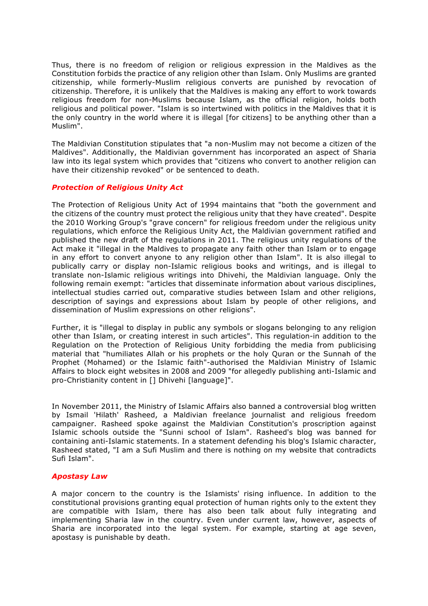Thus, there is no freedom of religion or religious expression in the Maldives as the Constitution forbids the practice of any religion other than Islam. Only Muslims are granted citizenship, while formerly-Muslim religious converts are punished by revocation of citizenship. Therefore, it is unlikely that the Maldives is making any effort to work towards religious freedom for non-Muslims because Islam, as the official religion, holds both religious and political power. "Islam is so intertwined with politics in the Maldives that it is the only country in the world where it is illegal [for citizens] to be anything other than a Muslim".

The Maldivian Constitution stipulates that "a non-Muslim may not become a citizen of the Maldives". Additionally, the Maldivian government has incorporated an aspect of Sharia law into its legal system which provides that "citizens who convert to another religion can have their citizenship revoked" or be sentenced to death.

## *Protection of Religious Unity Act*

The Protection of Religious Unity Act of 1994 maintains that "both the government and the citizens of the country must protect the religious unity that they have created". Despite the 2010 Working Group's "grave concern" for religious freedom under the religious unity regulations, which enforce the Religious Unity Act, the Maldivian government ratified and published the new draft of the regulations in 2011. The religious unity regulations of the Act make it "illegal in the Maldives to propagate any faith other than Islam or to engage in any effort to convert anyone to any religion other than Islam". It is also illegal to publically carry or display non-Islamic religious books and writings, and is illegal to translate non-Islamic religious writings into Dhivehi, the Maldivian language. Only the following remain exempt: "articles that disseminate information about various disciplines, intellectual studies carried out, comparative studies between Islam and other religions, description of sayings and expressions about Islam by people of other religions, and dissemination of Muslim expressions on other religions".

Further, it is "illegal to display in public any symbols or slogans belonging to any religion other than Islam, or creating interest in such articles". This regulation-in addition to the Regulation on the Protection of Religious Unity forbidding the media from publicising material that "humiliates Allah or his prophets or the holy Quran or the Sunnah of the Prophet (Mohamed) or the Islamic faith"-authorised the Maldivian Ministry of Islamic Affairs to block eight websites in 2008 and 2009 "for allegedly publishing anti-Islamic and pro-Christianity content in [] Dhivehi [language]".

In November 2011, the Ministry of Islamic Affairs also banned a controversial blog written by Ismail 'Hilath' Rasheed, a Maldivian freelance journalist and religious freedom campaigner. Rasheed spoke against the Maldivian Constitution's proscription against Islamic schools outside the "Sunni school of Islam". Rasheed's blog was banned for containing anti-Islamic statements. In a statement defending his blog's Islamic character, Rasheed stated, "I am a Sufi Muslim and there is nothing on my website that contradicts Sufi Islam".

#### *Apostasy Law*

A major concern to the country is the Islamists' rising influence. In addition to the constitutional provisions granting equal protection of human rights only to the extent they are compatible with Islam, there has also been talk about fully integrating and implementing Sharia law in the country. Even under current law, however, aspects of Sharia are incorporated into the legal system. For example, starting at age seven, apostasy is punishable by death.